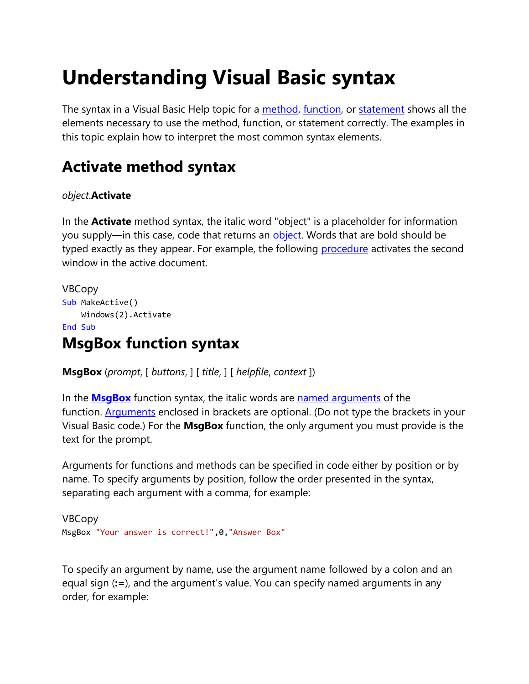# **Understanding Visual Basic syntax**

The syntax in a Visual Basic Help topic for a [method,](https://docs.microsoft.com/en-us/office/vba/language/glossary/vbe-glossary#method) [function,](https://docs.microsoft.com/en-us/office/vba/language/glossary/vbe-glossary#function-procedure) or [statement](https://docs.microsoft.com/en-us/office/vba/language/glossary/vbe-glossary#statement) shows all the elements necessary to use the method, function, or statement correctly. The examples in this topic explain how to interpret the most common syntax elements.

### **Activate method syntax**

#### *object*.**Activate**

In the **Activate** method syntax, the italic word "object" is a placeholder for information you supply—in this case, code that returns an **object**. Words that are bold should be typed exactly as they appear. For example, the following **[procedure](https://docs.microsoft.com/en-us/office/vba/language/glossary/vbe-glossary#procedure)** activates the second window in the active document.

```
VBCopy
Sub MakeActive()
     Windows(2).Activate
End Sub
```
### **MsgBox function syntax**

**MsgBox** (*prompt*, [ *buttons*, ] [ *title*, ] [ *helpfile*, *context* ])

In the **[MsgBox](https://docs.microsoft.com/en-us/office/vba/language/reference/user-interface-help/msgbox-function)** function syntax, the italic words are [named arguments](https://docs.microsoft.com/en-us/office/vba/language/glossary/vbe-glossary#named-argument) of the function. [Arguments](https://docs.microsoft.com/en-us/office/vba/language/glossary/vbe-glossary#argument) enclosed in brackets are optional. (Do not type the brackets in your Visual Basic code.) For the **MsgBox** function, the only argument you must provide is the text for the prompt.

Arguments for functions and methods can be specified in code either by position or by name. To specify arguments by position, follow the order presented in the syntax, separating each argument with a comma, for example:

```
VBCopy
MsgBox "Your answer is correct!",0,"Answer Box"
```
To specify an argument by name, use the argument name followed by a colon and an equal sign (**:=**), and the argument's value. You can specify named arguments in any order, for example: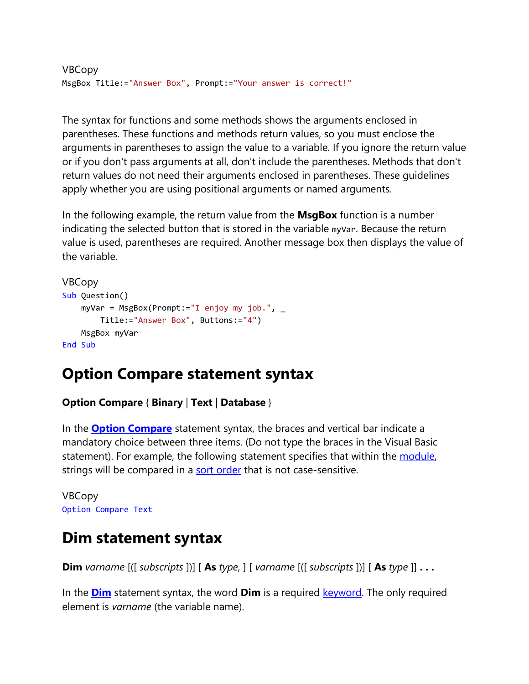```
VBCopy
MsgBox Title:="Answer Box", Prompt:="Your answer is correct!"
```
The syntax for functions and some methods shows the arguments enclosed in parentheses. These functions and methods return values, so you must enclose the arguments in parentheses to assign the value to a variable. If you ignore the return value or if you don't pass arguments at all, don't include the parentheses. Methods that don't return values do not need their arguments enclosed in parentheses. These guidelines apply whether you are using positional arguments or named arguments.

In the following example, the return value from the **MsgBox** function is a number indicating the selected button that is stored in the variable myVar. Because the return value is used, parentheses are required. Another message box then displays the value of the variable.

```
VBCopy
Sub Question()
     myVar = MsgBox(Prompt:="I enjoy my job.", _
         Title:="Answer Box", Buttons:="4")
     MsgBox myVar
End Sub
```
#### **Option Compare statement syntax**

#### **Option Compare** { **Binary** | **Text** | **Database** }

In the **[Option Compare](https://docs.microsoft.com/en-us/office/vba/language/reference/user-interface-help/option-compare-statement)** statement syntax, the braces and vertical bar indicate a mandatory choice between three items. (Do not type the braces in the Visual Basic statement). For example, the following statement specifies that within the [module,](https://docs.microsoft.com/en-us/office/vba/language/glossary/vbe-glossary#module) strings will be compared in a [sort order](https://docs.microsoft.com/en-us/office/vba/language/glossary/vbe-glossary#sort-order) that is not case-sensitive.

VBCopy Option Compare Text

### **Dim statement syntax**

**Dim** *varname* [([ *subscripts* ])] [ **As** *type*, ] [ *varname* [([ *subscripts* ])] [ **As** *type* ]] **. . .**

In the **[Dim](https://docs.microsoft.com/en-us/office/vba/language/reference/user-interface-help/dim-statement)** statement syntax, the word **Dim** is a required [keyword.](https://docs.microsoft.com/en-us/office/vba/language/glossary/vbe-glossary#keyword) The only required element is *varname* (the variable name).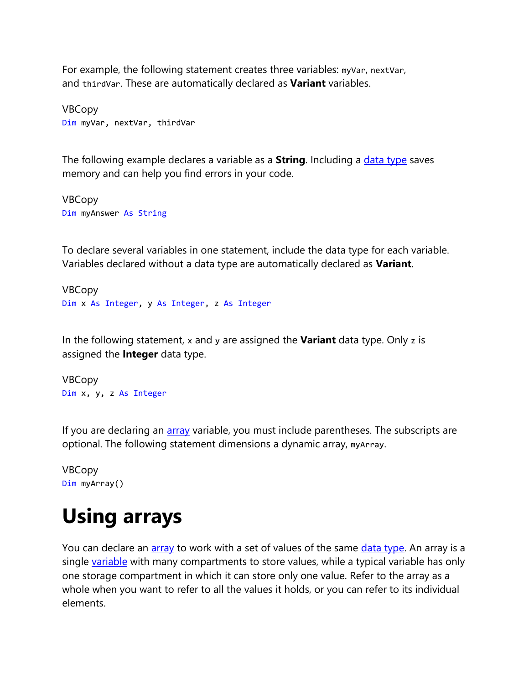For example, the following statement creates three variables: myVar, nextVar, and thirdVar. These are automatically declared as **Variant** variables.

VBCopy Dim myVar, nextVar, thirdVar

The following example declares a variable as a **String**. Including a [data type](https://docs.microsoft.com/en-us/office/vba/language/glossary/vbe-glossary#data-type) saves memory and can help you find errors in your code.

VBCopy Dim myAnswer As String

To declare several variables in one statement, include the data type for each variable. Variables declared without a data type are automatically declared as **Variant**.

VBCopy Dim x As Integer, y As Integer, z As Integer

In the following statement, x and y are assigned the **Variant** data type. Only z is assigned the **Integer** data type.

VBCopy Dim x, y, z As Integer

If you are declaring an **[array](https://docs.microsoft.com/en-us/office/vba/language/glossary/vbe-glossary#array)** variable, you must include parentheses. The subscripts are optional. The following statement dimensions a dynamic array, myArray.

```
VBCopy
Dim myArray()
```
## **Using arrays**

You can declare an [array](https://docs.microsoft.com/en-us/office/vba/language/glossary/vbe-glossary#array) to work with a set of values of the same [data type.](https://docs.microsoft.com/en-us/office/vba/language/glossary/vbe-glossary#data-type) An array is a single [variable](https://docs.microsoft.com/en-us/office/vba/language/glossary/vbe-glossary#variable) with many compartments to store values, while a typical variable has only one storage compartment in which it can store only one value. Refer to the array as a whole when you want to refer to all the values it holds, or you can refer to its individual elements.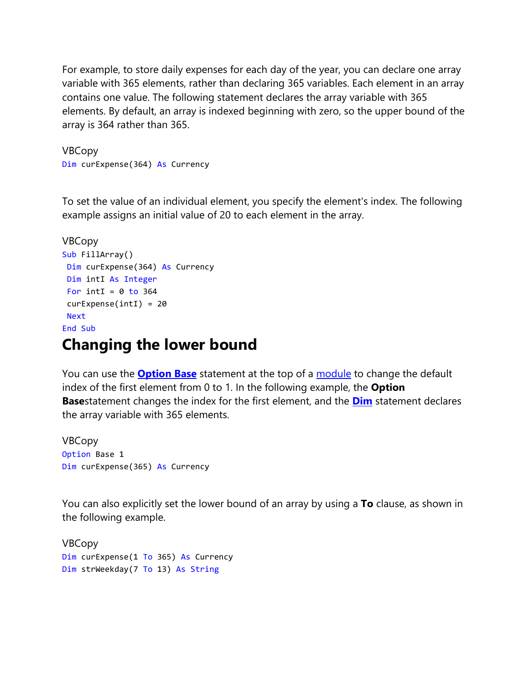For example, to store daily expenses for each day of the year, you can declare one array variable with 365 elements, rather than declaring 365 variables. Each element in an array contains one value. The following statement declares the array variable with 365 elements. By default, an array is indexed beginning with zero, so the upper bound of the array is 364 rather than 365.

VBCopy Dim curExpense(364) As Currency

To set the value of an individual element, you specify the element's index. The following example assigns an initial value of 20 to each element in the array.

```
VBCopy
Sub FillArray()
Dim curExpense(364) As Currency
Dim intI As Integer
For intI = 0 to 364
curExpense(intI) = 20
Next
End Sub
```
#### **Changing the lower bound**

You can use the **[Option Base](https://docs.microsoft.com/en-us/office/vba/language/reference/user-interface-help/option-base-statement)** statement at the top of a [module](https://docs.microsoft.com/en-us/office/vba/language/glossary/vbe-glossary#module) to change the default index of the first element from 0 to 1. In the following example, the **Option Base**statement changes the index for the first element, and the **[Dim](https://docs.microsoft.com/en-us/office/vba/language/reference/user-interface-help/dim-statement)** statement declares the array variable with 365 elements.

VBCopy Option Base 1 Dim curExpense(365) As Currency

You can also explicitly set the lower bound of an array by using a **To** clause, as shown in the following example.

VBCopy Dim curExpense(1 To 365) As Currency Dim strWeekday(7 To 13) As String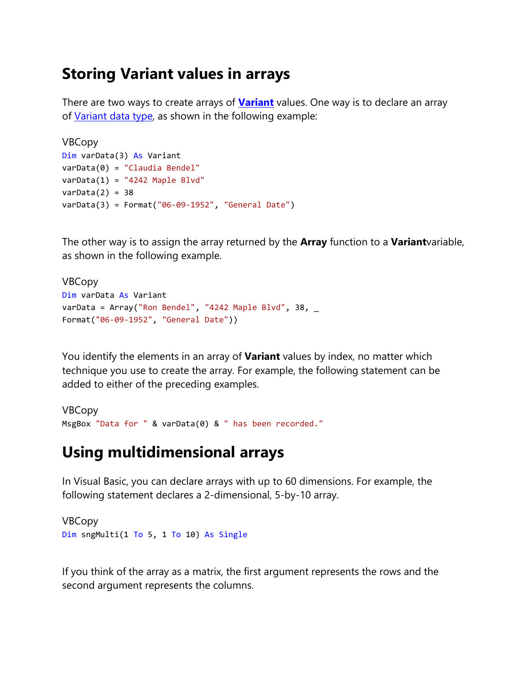#### **Storing Variant values in arrays**

There are two ways to create arrays of **[Variant](https://docs.microsoft.com/en-us/office/vba/language/reference/user-interface-help/variant-data-type)** values. One way is to declare an array of [Variant data type,](https://docs.microsoft.com/en-us/office/vba/language/glossary/vbe-glossary#variant-data-type) as shown in the following example:

```
VBCopy
Dim varData(3) As Variant
varData(0) = "Claudia Bendel"
varData(1) = "4242 Maple Blvd"
varData(2) = 38varData(3) = Format("06-09-1952", "General Date")
```
The other way is to assign the array returned by the **Array** function to a **Variant**variable, as shown in the following example.

```
VBCopy
Dim varData As Variant
varData = Array("Ron Bendel", "4242 Maple Blvd", 38, \overline{\phantom{a}}Format("06-09-1952", "General Date"))
```
You identify the elements in an array of **Variant** values by index, no matter which technique you use to create the array. For example, the following statement can be added to either of the preceding examples.

```
VBCopy
MsgBox "Data for " & varData(0) & " has been recorded."
```
#### **Using multidimensional arrays**

In Visual Basic, you can declare arrays with up to 60 dimensions. For example, the following statement declares a 2-dimensional, 5-by-10 array.

VBCopy Dim sngMulti(1 To 5, 1 To 10) As Single

If you think of the array as a matrix, the first argument represents the rows and the second argument represents the columns.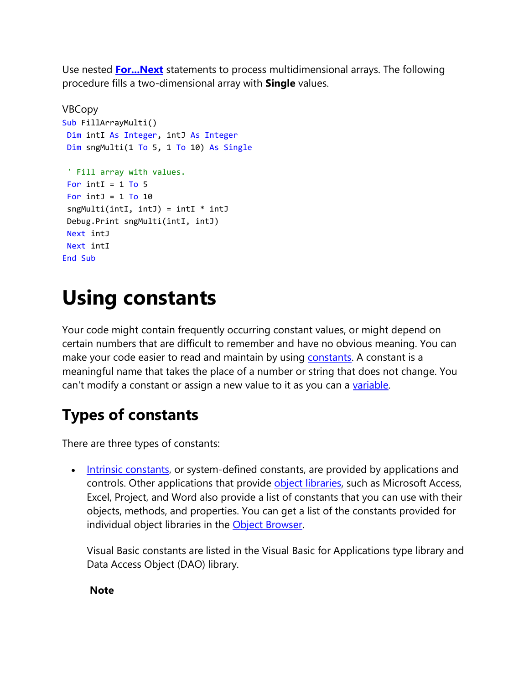Use nested **[For...Next](https://docs.microsoft.com/en-us/office/vba/language/reference/user-interface-help/fornext-statement)** statements to process multidimensional arrays. The following procedure fills a two-dimensional array with **Single** values.

```
VBCopy
Sub FillArrayMulti()
Dim intI As Integer, intJ As Integer
Dim sngMulti(1 To 5, 1 To 10) As Single
 ' Fill array with values.
For intI = 1 To 5
For intJ = 1 To 10
 sngMulti(intI, intJ) = intI * intJ
Debug.Print sngMulti(intI, intJ)
Next intJ
Next intI
End Sub
```
## **Using constants**

Your code might contain frequently occurring constant values, or might depend on certain numbers that are difficult to remember and have no obvious meaning. You can make your code easier to read and maintain by using [constants.](https://docs.microsoft.com/en-us/office/vba/language/glossary/vbe-glossary#constant) A constant is a meaningful name that takes the place of a number or string that does not change. You can't modify a constant or assign a new value to it as you can a [variable.](https://docs.microsoft.com/en-us/office/vba/language/glossary/vbe-glossary#variable)

### **Types of constants**

There are three types of constants:

• [Intrinsic constants,](https://docs.microsoft.com/en-us/office/vba/language/glossary/vbe-glossary#intrinsic-constants) or system-defined constants, are provided by applications and controls. Other applications that provide [object libraries,](https://docs.microsoft.com/en-us/office/vba/language/glossary/vbe-glossary#object-library) such as Microsoft Access, Excel, Project, and Word also provide a list of constants that you can use with their objects, methods, and properties. You can get a list of the constants provided for individual object libraries in the [Object Browser.](https://docs.microsoft.com/en-us/office/vba/language/glossary/vbe-glossary#object-browser)

Visual Basic constants are listed in the Visual Basic for Applications type library and Data Access Object (DAO) library.

**Note**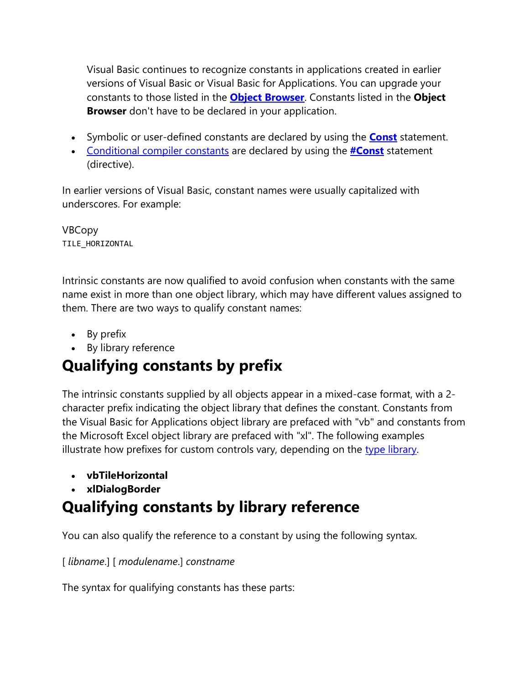Visual Basic continues to recognize constants in applications created in earlier versions of Visual Basic or Visual Basic for Applications. You can upgrade your constants to those listed in the **[Object Browser](https://docs.microsoft.com/en-us/office/vba/language/reference/user-interface-help/object-browser)**. Constants listed in the **Object Browser** don't have to be declared in your application.

- Symbolic or user-defined constants are declared by using the **[Const](https://docs.microsoft.com/en-us/office/vba/language/reference/user-interface-help/const-statement)** statement.
- [Conditional compiler constants](https://docs.microsoft.com/en-us/office/vba/language/glossary/vbe-glossary#conditional-compiler-constant) are declared by using the **[#Const](https://docs.microsoft.com/en-us/office/vba/language/reference/user-interface-help/const-directive)** statement (directive).

In earlier versions of Visual Basic, constant names were usually capitalized with underscores. For example:

VBCopy TILE\_HORIZONTAL

Intrinsic constants are now qualified to avoid confusion when constants with the same name exist in more than one object library, which may have different values assigned to them. There are two ways to qualify constant names:

- By prefix
- By library reference

### **Qualifying constants by prefix**

The intrinsic constants supplied by all objects appear in a mixed-case format, with a 2 character prefix indicating the object library that defines the constant. Constants from the Visual Basic for Applications object library are prefaced with "vb" and constants from the Microsoft Excel object library are prefaced with "xl". The following examples illustrate how prefixes for custom controls vary, depending on the [type library.](https://docs.microsoft.com/en-us/office/vba/language/glossary/vbe-glossary#type-library)

- **vbTileHorizontal**
- **xlDialogBorder**

### **Qualifying constants by library reference**

You can also qualify the reference to a constant by using the following syntax.

[ *libname*.] [ *modulename*.] *constname*

The syntax for qualifying constants has these parts: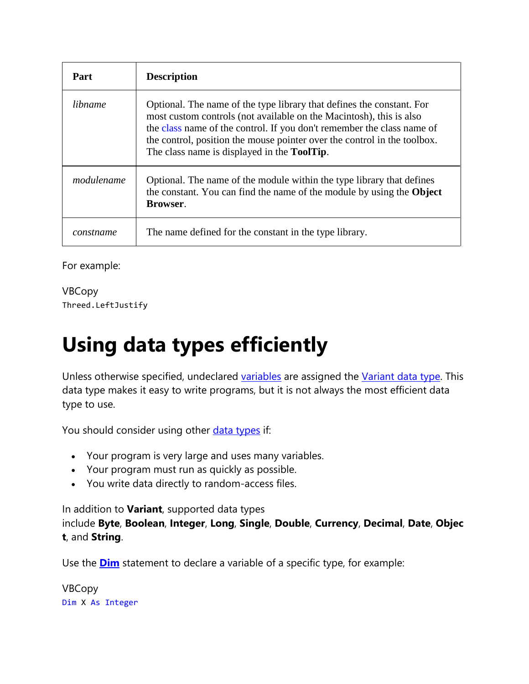| Part       | <b>Description</b>                                                                                                                                                                                                                                                                                                                                        |
|------------|-----------------------------------------------------------------------------------------------------------------------------------------------------------------------------------------------------------------------------------------------------------------------------------------------------------------------------------------------------------|
| libname    | Optional. The name of the type library that defines the constant. For<br>most custom controls (not available on the Macintosh), this is also<br>the class name of the control. If you don't remember the class name of<br>the control, position the mouse pointer over the control in the toolbox.<br>The class name is displayed in the <b>ToolTip</b> . |
| modulename | Optional. The name of the module within the type library that defines<br>the constant. You can find the name of the module by using the Object<br><b>Browser.</b>                                                                                                                                                                                         |
| constname  | The name defined for the constant in the type library.                                                                                                                                                                                                                                                                                                    |

For example:

VBCopy Threed.LeftJustify

# **Using data types efficiently**

Unless otherwise specified, undeclared [variables](https://docs.microsoft.com/en-us/office/vba/language/glossary/vbe-glossary#variable) are assigned the [Variant data type.](https://docs.microsoft.com/en-us/office/vba/language/glossary/vbe-glossary#variant-data-type) This data type makes it easy to write programs, but it is not always the most efficient data type to use.

You should consider using other [data types](https://docs.microsoft.com/en-us/office/vba/language/reference/user-interface-help/data-type-summary) if:

- Your program is very large and uses many variables.
- Your program must run as quickly as possible.
- You write data directly to random-access files.

In addition to **Variant**, supported data types include **Byte**, **Boolean**, **Integer**, **Long**, **Single**, **Double**, **Currency**, **Decimal**, **Date**, **Objec t**, and **String**.

Use the **[Dim](https://docs.microsoft.com/en-us/office/vba/language/reference/user-interface-help/dim-statement)** statement to declare a variable of a specific type, for example:

VBCopy Dim X As Integer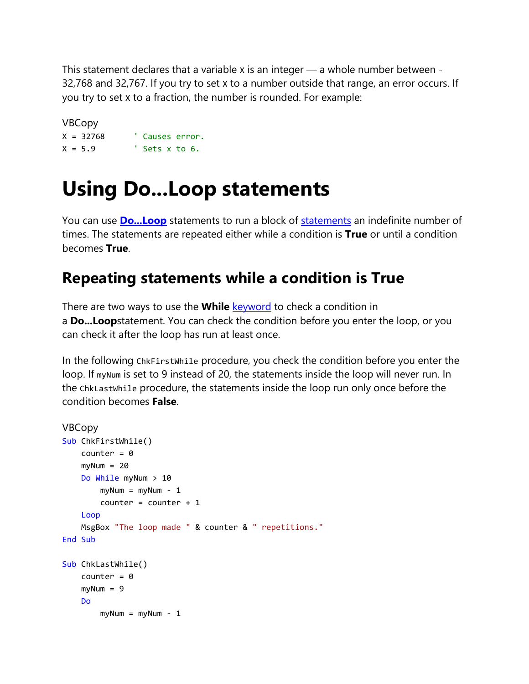This statement declares that a variable x is an integer — a whole number between -32,768 and 32,767. If you try to set x to a number outside that range, an error occurs. If you try to set X to a fraction, the number is rounded. For example:

VBCopy X = 32768 ' Causes error.  $X = 5.9$  ' Sets x to 6.

### **Using Do...Loop statements**

You can use **[Do...Loop](https://docs.microsoft.com/en-us/office/vba/language/reference/user-interface-help/doloop-statement)** statements to run a block of [statements](https://docs.microsoft.com/en-us/office/vba/language/glossary/vbe-glossary#statement) an indefinite number of times. The statements are repeated either while a condition is **True** or until a condition becomes **True**.

### **Repeating statements while a condition is True**

There are two ways to use the **While** [keyword](https://docs.microsoft.com/en-us/office/vba/language/glossary/vbe-glossary#keyword) to check a condition in a **Do...Loop**statement. You can check the condition before you enter the loop, or you can check it after the loop has run at least once.

In the following ChkFirstWhile procedure, you check the condition before you enter the loop. If my Num is set to 9 instead of 20, the statements inside the loop will never run. In the ChkLastWhile procedure, the statements inside the loop run only once before the condition becomes **False**.

```
VBCopy
Sub ChkFirstWhile()
    counter = <math>0</math>myNum = 20 Do While myNum > 10
        myNum = myNum - 1counter = counter + 1 Loop
     MsgBox "The loop made " & counter & " repetitions."
End Sub
Sub ChkLastWhile()
    counter = 0myNum = 9 Do
        myNum = myNum - 1
```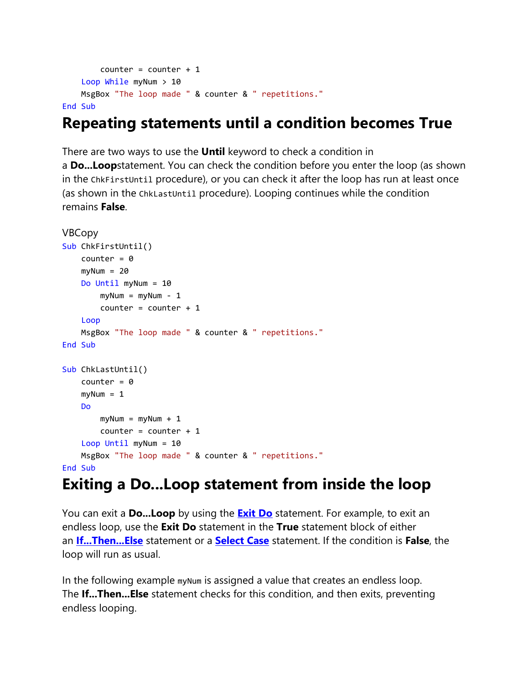```
counter = counter + 1 Loop While myNum > 10
     MsgBox "The loop made " & counter & " repetitions."
End Sub
```
### **Repeating statements until a condition becomes True**

There are two ways to use the **Until** keyword to check a condition in a **Do...Loop**statement. You can check the condition before you enter the loop (as shown in the ChkFirstUntil procedure), or you can check it after the loop has run at least once (as shown in the ChkLastUntil procedure). Looping continues while the condition remains **False**.

```
VBCopy
Sub ChkFirstUntil()
    counter = \thetamyNum = 20 Do Until myNum = 10
        myNum = myNum - 1counter = counter + 1 Loop
     MsgBox "The loop made " & counter & " repetitions."
End Sub
Sub ChkLastUntil()
    counter = 0myNum = 1 Do
        myNum = myNum + 1counter = counter + 1 Loop Until myNum = 10
     MsgBox "The loop made " & counter & " repetitions."
End Sub
```
#### **Exiting a Do...Loop statement from inside the loop**

You can exit a **Do...Loop** by using the **[Exit Do](https://docs.microsoft.com/en-us/office/vba/language/reference/user-interface-help/exit-statement)** statement. For example, to exit an endless loop, use the **Exit Do** statement in the **True** statement block of either an **[If...Then...Else](https://docs.microsoft.com/en-us/office/vba/language/reference/user-interface-help/ifthenelse-statement)** statement or a **[Select Case](https://docs.microsoft.com/en-us/office/vba/language/reference/user-interface-help/select-case-statement)** statement. If the condition is **False**, the loop will run as usual.

In the following example my Num is assigned a value that creates an endless loop. The **If...Then...Else** statement checks for this condition, and then exits, preventing endless looping.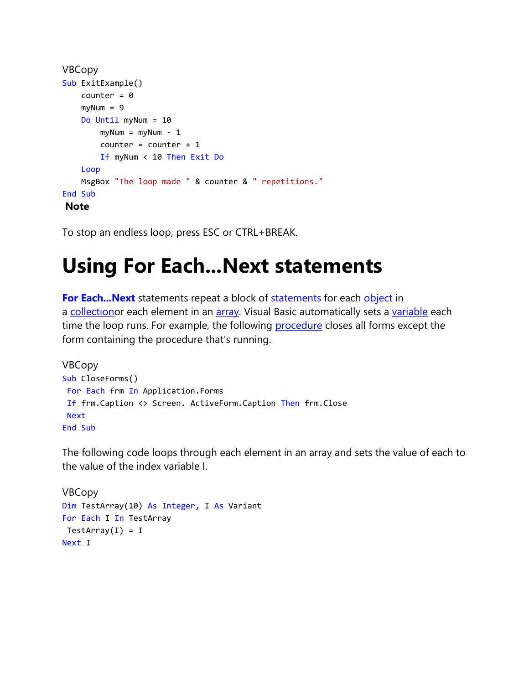```
VBCopy
Sub ExitExample()
    counter = \thetamyNum = 9 Do Until myNum = 10
        myNum = myNum - 1counter = counter + 1 If myNum < 10 Then Exit Do
     Loop
     MsgBox "The loop made " & counter & " repetitions."
End Sub
Note
```
To stop an endless loop, press ESC or CTRL+BREAK.

## **Using For Each...Next statements**

**[For Each...Next](https://docs.microsoft.com/en-us/office/vba/language/reference/user-interface-help/for-eachnext-statement)** [statements](https://docs.microsoft.com/en-us/office/vba/language/glossary/vbe-glossary#statement) repeat a block of **statements** for each [object](https://docs.microsoft.com/en-us/office/vba/language/glossary/vbe-glossary#object) in a [collectiono](https://docs.microsoft.com/en-us/office/vba/language/glossary/vbe-glossary#collection)r each element in an [array.](https://docs.microsoft.com/en-us/office/vba/language/glossary/vbe-glossary#array) Visual Basic automatically sets a [variable](https://docs.microsoft.com/en-us/office/vba/language/glossary/vbe-glossary#variable) each time the loop runs. For example, the following [procedure](https://docs.microsoft.com/en-us/office/vba/language/glossary/vbe-glossary#procedure) closes all forms except the form containing the procedure that's running.

```
VBCopy
Sub CloseForms()
For Each frm In Application.Forms
If frm.Caption <> Screen. ActiveForm.Caption Then frm.Close
Next
End Sub
```
The following code loops through each element in an array and sets the value of each to the value of the index variable I.

```
VBCopy
Dim TestArray(10) As Integer, I As Variant
For Each I In TestArray
TestArray(I) = INext I
```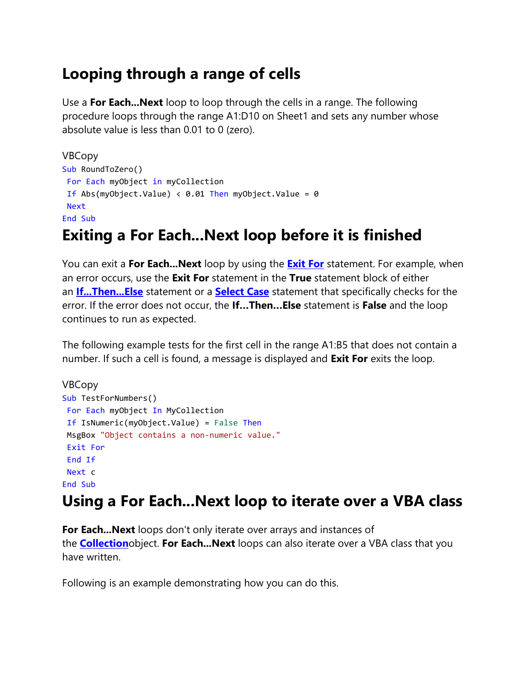### **Looping through a range of cells**

Use a **For Each...Next** loop to loop through the cells in a range. The following procedure loops through the range A1:D10 on Sheet1 and sets any number whose absolute value is less than 0.01 to 0 (zero).

```
VBCopy
Sub RoundToZero()
For Each myObject in myCollection
If Abs(myObject.Value) < 0.01 Then myObject.Value = 0Next
End Sub
```
### **Exiting a For Each...Next loop before it is finished**

You can exit a **For Each...Next** loop by using the **[Exit For](https://docs.microsoft.com/en-us/office/vba/language/reference/user-interface-help/exit-statement)** statement. For example, when an error occurs, use the **Exit For** statement in the **True** statement block of either an **[If...Then...Else](https://docs.microsoft.com/en-us/office/vba/language/reference/user-interface-help/ifthenelse-statement)** statement or a **[Select Case](https://docs.microsoft.com/en-us/office/vba/language/reference/user-interface-help/select-case-statement)** statement that specifically checks for the error. If the error does not occur, the **If…Then…Else** statement is **False** and the loop continues to run as expected.

The following example tests for the first cell in the range A1:B5 that does not contain a number. If such a cell is found, a message is displayed and **Exit For** exits the loop.

```
VBCopy
Sub TestForNumbers()
For Each myObject In MyCollection
If IsNumeric(myObject.Value) = False Then
MsgBox "Object contains a non-numeric value."
Exit For
End If
Next c
End Sub
```
### **Using a For Each...Next loop to iterate over a VBA class**

**For Each...Next** loops don't only iterate over arrays and instances of the **[Collection](https://docs.microsoft.com/en-us/office/vba/language/reference/user-interface-help/collection-object)**object. **For Each...Next** loops can also iterate over a VBA class that you have written.

Following is an example demonstrating how you can do this.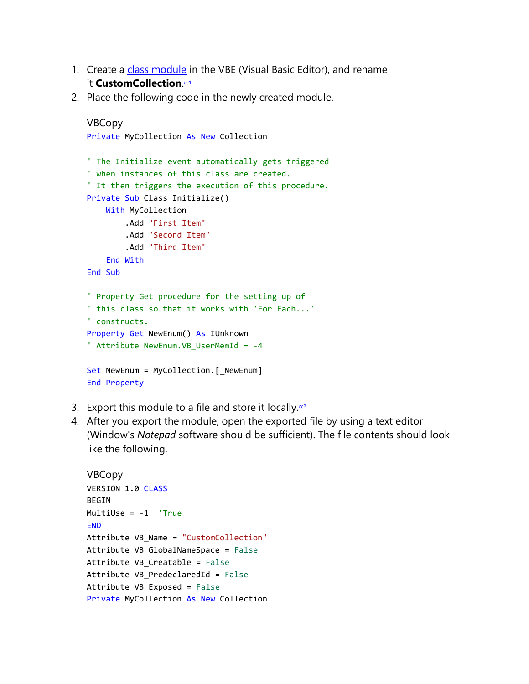- 1. Create a [class module](https://docs.microsoft.com/en-us/office/vba/language/glossary/vbe-glossary#class-module) in the VBE (Visual Basic Editor), and rename it CustomCollection.<sup>cd</sup>
- 2. Place the following code in the newly created module.

```
VBCopy
Private MyCollection As New Collection
' The Initialize event automatically gets triggered
' when instances of this class are created.
' It then triggers the execution of this procedure.
Private Sub Class_Initialize()
     With MyCollection
         .Add "First Item"
         .Add "Second Item"
         .Add "Third Item"
     End With
End Sub
' Property Get procedure for the setting up of
' this class so that it works with 'For Each...'
' constructs.
Property Get NewEnum() As IUnknown
' Attribute NewEnum.VB_UserMemId = -4
Set NewEnum = MyCollection.[_NewEnum]
End Property
```
- 3. Export this module to a file and store it locally. $\frac{cc}{c}$
- 4. After you export the module, open the exported file by using a text editor (Window's *Notepad* software should be sufficient). The file contents should look like the following.

```
VBCopy
VERSION 1.0 CLASS
BEGIN
MultiUse = -1 'True
FND
Attribute VB_Name = "CustomCollection"
Attribute VB_GlobalNameSpace = False
Attribute VB Creatable = False
Attribute VB_PredeclaredId = False
Attribute VB_Exposed = False
Private MyCollection As New Collection
```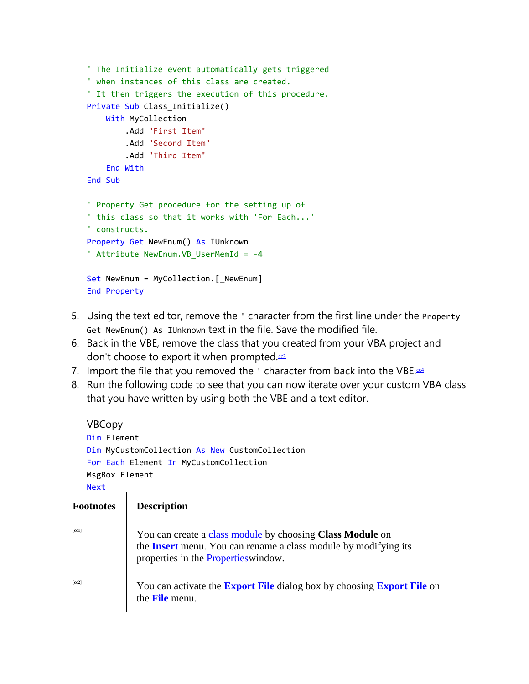```
' The Initialize event automatically gets triggered
' when instances of this class are created.
' It then triggers the execution of this procedure.
Private Sub Class Initialize()
     With MyCollection
         .Add "First Item"
         .Add "Second Item"
         .Add "Third Item"
     End With
End Sub
' Property Get procedure for the setting up of
' this class so that it works with 'For Each...'
' constructs.
Property Get NewEnum() As IUnknown
' Attribute NewEnum.VB_UserMemId = -4
Set NewEnum = MyCollection.[_NewEnum]
End Property
```
- 5. Using the text editor, remove the ' character from the first line under the Property Get NewEnum() As IUnknown text in the file. Save the modified file.
- 6. Back in the VBE, remove the class that you created from your VBA project and don't choose to export it when prompted.<sup>[cc3](https://docs.microsoft.com/en-us/office/vba/language/concepts/getting-started/using-for-eachnext-statements#cc3)</sup>
- 7. Import the file that you removed the  $\cdot$  character from back into the VBE. $c4$
- 8. Run the following code to see that you can now iterate over your custom VBA class that you have written by using both the VBE and a text editor.

```
VBCopy
Dim Element
Dim MyCustomCollection As New CustomCollection
For Each Element In MyCustomCollection
MsgBox Element
Next
```

| <b>Footnotes</b> | <b>Description</b>                                                                                                                                                          |
|------------------|-----------------------------------------------------------------------------------------------------------------------------------------------------------------------------|
| [cc1]            | You can create a class module by choosing Class Module on<br>the <b>Insert</b> menu. You can rename a class module by modifying its<br>properties in the Properties window. |
| [cc2]            | You can activate the <b>Export File</b> dialog box by choosing <b>Export File</b> on<br>the <b>File</b> menu.                                                               |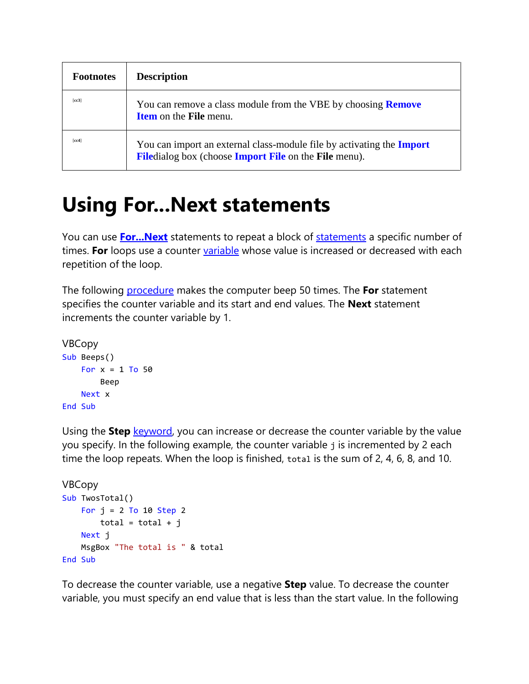| <b>Footnotes</b> | <b>Description</b>                                                                                                                           |
|------------------|----------------------------------------------------------------------------------------------------------------------------------------------|
| [cc3]            | You can remove a class module from the VBE by choosing <b>Remove</b><br><b>Item</b> on the <b>File</b> menu.                                 |
| [cc4]            | You can import an external class-module file by activating the <b>Import</b><br><b>Filedialog box (choose Import File on the File menu).</b> |

### **Using For...Next statements**

You can use **[For...Next](https://docs.microsoft.com/en-us/office/vba/language/reference/user-interface-help/fornext-statement)** statements to repeat a block of [statements](https://docs.microsoft.com/en-us/office/vba/language/glossary/vbe-glossary#statement) a specific number of times. **For** loops use a counter [variable](https://docs.microsoft.com/en-us/office/vba/language/glossary/vbe-glossary#variable) whose value is increased or decreased with each repetition of the loop.

The following [procedure](https://docs.microsoft.com/en-us/office/vba/language/glossary/vbe-glossary#procedure) makes the computer beep 50 times. The **For** statement specifies the counter variable and its start and end values. The **Next** statement increments the counter variable by 1.

```
VBCopy
Sub Beeps()
    For x = 1 To 50
         Beep
     Next x
End Sub
```
Using the **Step** [keyword,](https://docs.microsoft.com/en-us/office/vba/language/glossary/vbe-glossary#keyword) you can increase or decrease the counter variable by the value you specify. In the following example, the counter variable j is incremented by 2 each time the loop repeats. When the loop is finished, total is the sum of 2, 4, 6, 8, and 10.

```
VBCopy
Sub TwosTotal()
    For j = 2 To 10 Step 2
       total = total + j Next j
     MsgBox "The total is " & total
End Sub
```
To decrease the counter variable, use a negative **Step** value. To decrease the counter variable, you must specify an end value that is less than the start value. In the following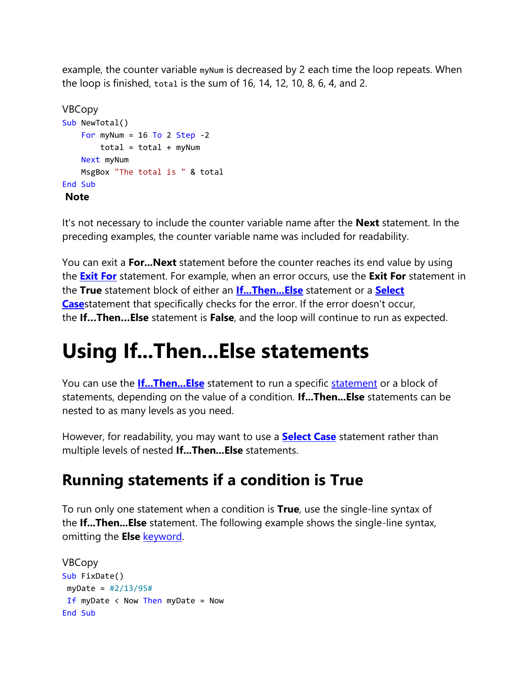example, the counter variable my Num is decreased by 2 each time the loop repeats. When the loop is finished, total is the sum of 16, 14, 12, 10, 8, 6, 4, and 2.

```
VBCopy
Sub NewTotal()
   For myNum = 16 To 2 Step -2total = total + myNum Next myNum
    MsgBox "The total is " & total
End Sub
Note
```
It's not necessary to include the counter variable name after the **Next** statement. In the preceding examples, the counter variable name was included for readability.

You can exit a **For...Next** statement before the counter reaches its end value by using the **[Exit For](https://docs.microsoft.com/en-us/office/vba/language/reference/user-interface-help/exit-statement)** statement. For example, when an error occurs, use the **Exit For** statement in the **True** statement block of either an **[If...Then...Else](https://docs.microsoft.com/en-us/office/vba/language/reference/user-interface-help/ifthenelse-statement)** statement or a **[Select](https://docs.microsoft.com/en-us/office/vba/language/reference/user-interface-help/select-case-statement)  [Case](https://docs.microsoft.com/en-us/office/vba/language/reference/user-interface-help/select-case-statement)**statement that specifically checks for the error. If the error doesn't occur, the **If…Then…Else** statement is **False**, and the loop will continue to run as expected.

## **Using If...Then...Else statements**

You can use the **[If...Then...Else](https://docs.microsoft.com/en-us/office/vba/language/reference/user-interface-help/ifthenelse-statement)** statement to run a specific [statement](https://docs.microsoft.com/en-us/office/vba/language/glossary/vbe-glossary#statement) or a block of statements, depending on the value of a condition. **If...Then...Else** statements can be nested to as many levels as you need.

However, for readability, you may want to use a **[Select Case](https://docs.microsoft.com/en-us/office/vba/language/reference/user-interface-help/select-case-statement)** statement rather than multiple levels of nested **If...Then...Else** statements.

### **Running statements if a condition is True**

To run only one statement when a condition is **True**, use the single-line syntax of the **If...Then...Else** statement. The following example shows the single-line syntax, omitting the **Else** [keyword.](https://docs.microsoft.com/en-us/office/vba/language/glossary/vbe-glossary#keyword)

```
VBCopy
Sub FixDate()
 myDate = #2/13/95#
If myDate \langle Now Then myDate = Now
End Sub
```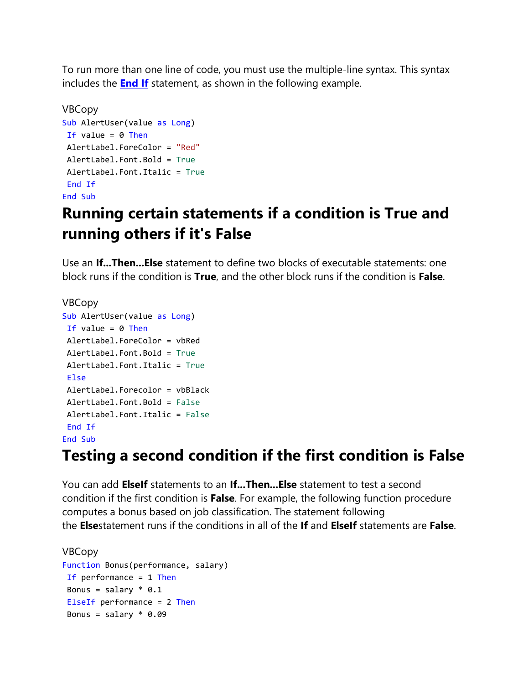To run more than one line of code, you must use the multiple-line syntax. This syntax includes the **[End If](https://docs.microsoft.com/en-us/office/vba/language/reference/user-interface-help/end-statement)** statement, as shown in the following example.

```
VBCopy
Sub AlertUser(value as Long)
If value = 0 Then
AlertLabel.ForeColor = "Red"
AlertLabel.Font.Bold = True
AlertLabel.Font.Italic = True
End If
End Sub
```
### **Running certain statements if a condition is True and running others if it's False**

Use an **If...Then...Else** statement to define two blocks of executable statements: one block runs if the condition is **True**, and the other block runs if the condition is **False**.

```
VBCopy
Sub AlertUser(value as Long)
If value = 0 Then
AlertLabel.ForeColor = vbRed
AlertLabel.Font.Bold = True
AlertLabel.Font.Italic = True
Else
AlertLabel.Forecolor = vbBlack
AlertLabel.Font.Bold = False
AlertLabel.Font.Italic = False
End If
End Sub
```
#### **Testing a second condition if the first condition is False**

You can add **ElseIf** statements to an **If...Then...Else** statement to test a second condition if the first condition is **False**. For example, the following function procedure computes a bonus based on job classification. The statement following the **Else**statement runs if the conditions in all of the **If** and **ElseIf** statements are **False**.

```
VBCopy
Function Bonus(performance, salary)
If performance = 1 Then
Bonus = salary * 0.1ElseIf performance = 2 Then
 Bonus = salary * 0.09
```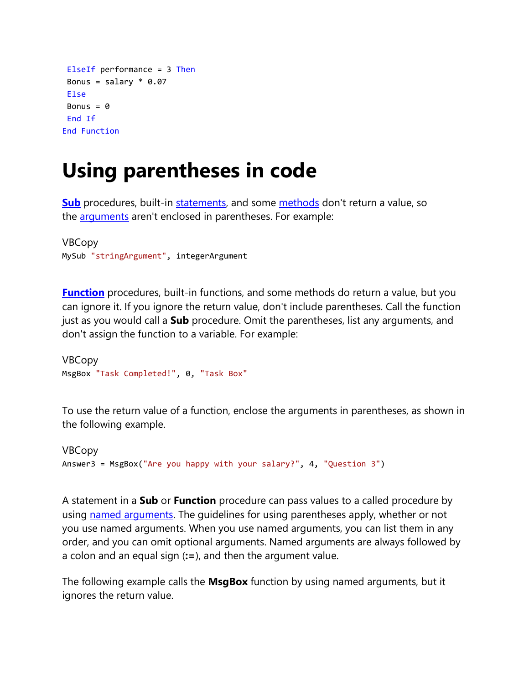```
ElseIf performance = 3 Then
 Bonus = salary * 0.07Else
 Bonus = \thetaEnd If
End Function
```
## **Using parentheses in code**

**[Sub](https://docs.microsoft.com/en-us/office/vba/language/reference/user-interface-help/sub-statement)** procedures, built-in [statements,](https://docs.microsoft.com/en-us/office/vba/language/glossary/vbe-glossary#statement) and some [methods](https://docs.microsoft.com/en-us/office/vba/language/glossary/vbe-glossary#method) don't return a value, so the **[arguments](https://docs.microsoft.com/en-us/office/vba/language/glossary/vbe-glossary#argument)** aren't enclosed in parentheses. For example:

```
VBCopy
MySub "stringArgument", integerArgument
```
**[Function](https://docs.microsoft.com/en-us/office/vba/language/reference/user-interface-help/function-statement)** procedures, built-in functions, and some methods do return a value, but you can ignore it. If you ignore the return value, don't include parentheses. Call the function just as you would call a **Sub** procedure. Omit the parentheses, list any arguments, and don't assign the function to a variable. For example:

```
VBCopy
MsgBox "Task Completed!", 0, "Task Box"
```
To use the return value of a function, enclose the arguments in parentheses, as shown in the following example.

```
VBCopy
Answer3 = MsgBox("Are you happy with your salary?", 4, "Question 3")
```
A statement in a **Sub** or **Function** procedure can pass values to a called procedure by using [named arguments.](https://docs.microsoft.com/en-us/office/vba/language/glossary/vbe-glossary#named-argument) The guidelines for using parentheses apply, whether or not you use named arguments. When you use named arguments, you can list them in any order, and you can omit optional arguments. Named arguments are always followed by a colon and an equal sign (**:=**), and then the argument value.

The following example calls the **MsgBox** function by using named arguments, but it ignores the return value.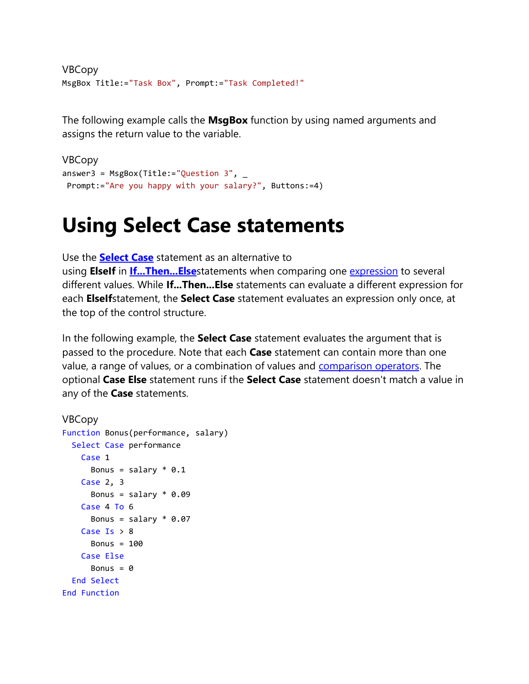```
VBCopy
MsgBox Title:="Task Box", Prompt:="Task Completed!"
```
The following example calls the **MsgBox** function by using named arguments and assigns the return value to the variable.

```
VBCopy
answer3 = MsgBox(Title:="Question 3",Prompt:="Are you happy with your salary?", Buttons:=4)
```
### **Using Select Case statements**

Use the **[Select Case](https://docs.microsoft.com/en-us/office/vba/language/reference/user-interface-help/select-case-statement)** statement as an alternative to using **ElseIf** in **[If...Then...Else](https://docs.microsoft.com/en-us/office/vba/language/reference/user-interface-help/ifthenelse-statement)**statements when comparing one [expression](https://docs.microsoft.com/en-us/office/vba/language/glossary/vbe-glossary#expression) to several different values. While **If...Then...Else** statements can evaluate a different expression for each **ElseIf**statement, the **Select Case** statement evaluates an expression only once, at the top of the control structure.

In the following example, the **Select Case** statement evaluates the argument that is passed to the procedure. Note that each **Case** statement can contain more than one value, a range of values, or a combination of values and [comparison operators.](https://docs.microsoft.com/en-us/office/vba/language/glossary/vbe-glossary#comparison-operator) The optional **Case Else** statement runs if the **Select Case** statement doesn't match a value in any of the **Case** statements.

```
VBCopy
Function Bonus(performance, salary)
  Select Case performance
    Case 1
     Bonus = salary * 0.1 Case 2, 3
     Bonus = salary * 0.09 Case 4 To 6
     Bonus = salary * 0.07Case Is > 8Bonus = 100 Case Else
      Bonus = 0 End Select
End Function
```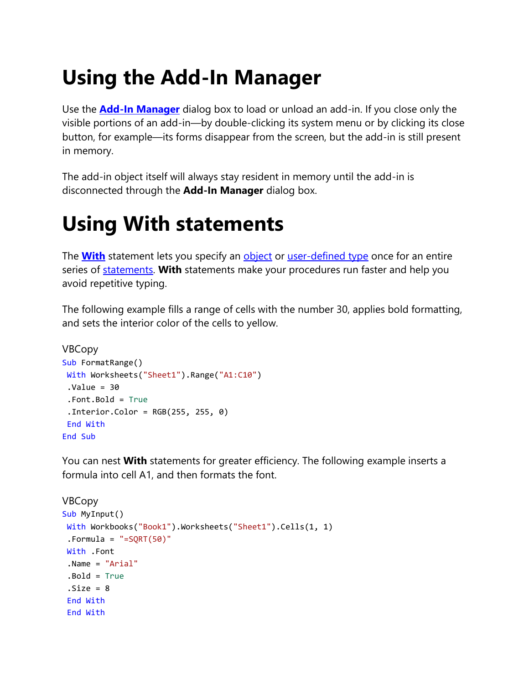# **Using the Add-In Manager**

Use the **[Add-In Manager](https://docs.microsoft.com/en-us/office/vba/language/reference/user-interface-help/add-in-manager-dialog-box)** dialog box to load or unload an add-in. If you close only the visible portions of an add-in—by double-clicking its system menu or by clicking its close button, for example—its forms disappear from the screen, but the add-in is still present in memory.

The add-in object itself will always stay resident in memory until the add-in is disconnected through the **Add-In Manager** dialog box.

## **Using With statements**

The **[With](https://docs.microsoft.com/en-us/office/vba/language/reference/user-interface-help/with-statement)** statement lets you specify an [object](https://docs.microsoft.com/en-us/office/vba/language/glossary/vbe-glossary#object) or [user-defined type](https://docs.microsoft.com/en-us/office/vba/language/glossary/vbe-glossary#user-defined-type) once for an entire series of [statements.](https://docs.microsoft.com/en-us/office/vba/language/glossary/vbe-glossary#statement) **With** statements make your procedures run faster and help you avoid repetitive typing.

The following example fills a range of cells with the number 30, applies bold formatting, and sets the interior color of the cells to yellow.

```
VBCopy
Sub FormatRange()
With Worksheets("Sheet1").Range("A1:C10")
 .Value = 30
.Font.Bold = True
 .Interior.Color = RGB(255, 255, 0)
End With
End Sub
```
You can nest **With** statements for greater efficiency. The following example inserts a formula into cell A1, and then formats the font.

```
VBCopy
Sub MyInput()
With Workbooks("Book1").Worksheets("Sheet1").Cells(1, 1)
. Formula = "= SORT(50)"
With .Font
.Name = "Arial"
.Bold = True
 .Size = 8End With
 End With
```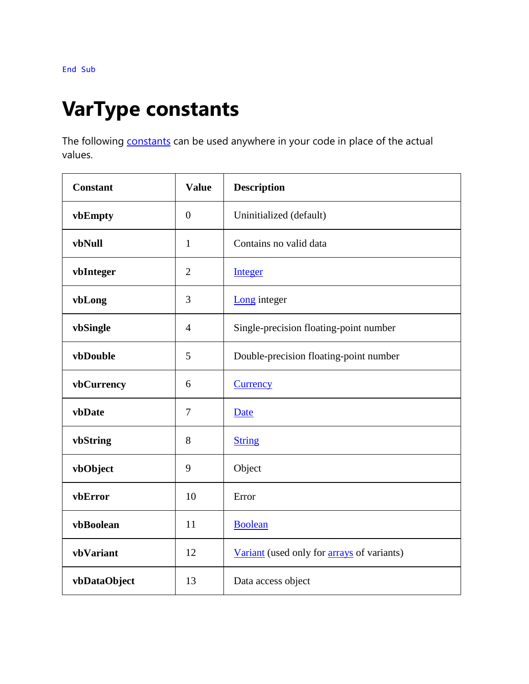## **VarType constants**

The following **[constants](https://docs.microsoft.com/en-us/office/vba/language/glossary/vbe-glossary#constant)** can be used anywhere in your code in place of the actual values.

| <b>Constant</b> | <b>Value</b>   | <b>Description</b>                                |  |
|-----------------|----------------|---------------------------------------------------|--|
| vbEmpty         | $\mathbf{0}$   | Uninitialized (default)                           |  |
| vbNull          | $\mathbf{1}$   | Contains no valid data                            |  |
| vbInteger       | $\overline{2}$ | <b>Integer</b>                                    |  |
| vbLong          | 3              | Long integer                                      |  |
| vbSingle        | $\overline{4}$ | Single-precision floating-point number            |  |
| vbDouble        | 5              | Double-precision floating-point number            |  |
| vbCurrency      | 6              | <b>Currency</b>                                   |  |
| vbDate          | 7              | Date                                              |  |
| vbString        | 8              | <b>String</b>                                     |  |
| vbObject        | 9              | Object                                            |  |
| vbError         | 10             | Error                                             |  |
| vbBoolean       | 11             | <b>Boolean</b>                                    |  |
| vbVariant       | 12             | Variant (used only for <b>arrays</b> of variants) |  |
| vbDataObject    | 13             | Data access object                                |  |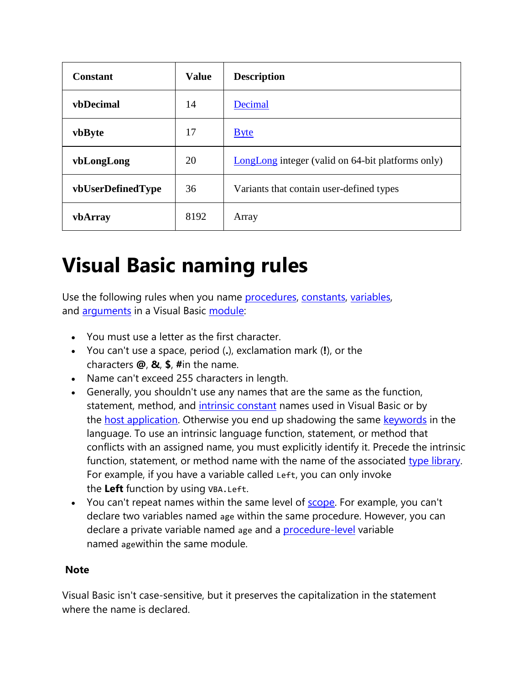| Constant          | <b>Value</b> | <b>Description</b>                                |
|-------------------|--------------|---------------------------------------------------|
| <b>vbDecimal</b>  | 14           | Decimal                                           |
| vbByte            | 17           | <b>Byte</b>                                       |
| vbLongLong        | 20           | LongLong integer (valid on 64-bit platforms only) |
| vbUserDefinedType | 36           | Variants that contain user-defined types          |
| vbArray           | 8192         | Array                                             |

## **Visual Basic naming rules**

Use the following rules when you name [procedures,](https://docs.microsoft.com/en-us/office/vba/language/glossary/vbe-glossary#procedure) [constants,](https://docs.microsoft.com/en-us/office/vba/language/glossary/vbe-glossary#constant) [variables,](https://docs.microsoft.com/en-us/office/vba/language/glossary/vbe-glossary#variable) and [arguments](https://docs.microsoft.com/en-us/office/vba/language/glossary/vbe-glossary#argument) in a Visual Basic [module:](https://docs.microsoft.com/en-us/office/vba/language/glossary/vbe-glossary#module)

- You must use a letter as the first character.
- You can't use a space, period (**.**), exclamation mark (**!**), or the characters **@**, **&**, **\$**, **#**in the name.
- Name can't exceed 255 characters in length.
- Generally, you shouldn't use any names that are the same as the function, statement, method, and [intrinsic constant](https://docs.microsoft.com/en-us/office/vba/language/glossary/vbe-glossary#intrinsic-constants) names used in Visual Basic or by the [host application.](https://docs.microsoft.com/en-us/office/vba/language/glossary/vbe-glossary#host-application) Otherwise you end up shadowing the same [keywords](https://docs.microsoft.com/en-us/office/vba/language/glossary/vbe-glossary#keyword) in the language. To use an intrinsic language function, statement, or method that conflicts with an assigned name, you must explicitly identify it. Precede the intrinsic function, statement, or method name with the name of the associated [type library.](https://docs.microsoft.com/en-us/office/vba/language/glossary/vbe-glossary#type-library) For example, if you have a variable called Left, you can only invoke the **Left** function by using VBA.Left.
- You can't repeat names within the same level of **scope**. For example, you can't declare two variables named age within the same procedure. However, you can declare a private variable named age and a **[procedure-level](https://docs.microsoft.com/en-us/office/vba/language/glossary/vbe-glossary#procedure-level)** variable named agewithin the same module.

#### **Note**

Visual Basic isn't case-sensitive, but it preserves the capitalization in the statement where the name is declared.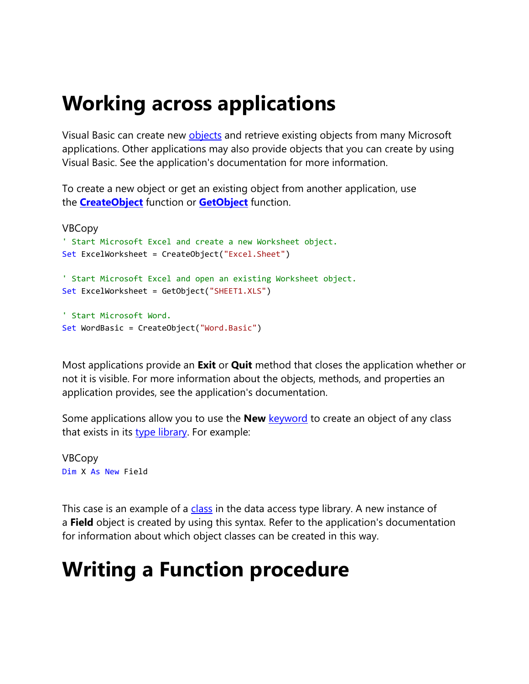## **Working across applications**

Visual Basic can create new **[objects](https://docs.microsoft.com/en-us/office/vba/language/glossary/vbe-glossary#object)** and retrieve existing objects from many Microsoft applications. Other applications may also provide objects that you can create by using Visual Basic. See the application's documentation for more information.

To create a new object or get an existing object from another application, use the **[CreateObject](https://docs.microsoft.com/en-us/office/vba/language/reference/user-interface-help/createobject-function)** function or **[GetObject](https://docs.microsoft.com/en-us/office/vba/language/reference/user-interface-help/getobject-function)** function.

```
VBCopy
' Start Microsoft Excel and create a new Worksheet object.
Set ExcelWorksheet = CreateObject("Excel.Sheet")
' Start Microsoft Excel and open an existing Worksheet object.
Set ExcelWorksheet = GetObject("SHEET1.XLS")
' Start Microsoft Word.
Set WordBasic = CreateObject("Word.Basic")
```
Most applications provide an **Exit** or **Quit** method that closes the application whether or not it is visible. For more information about the objects, methods, and properties an application provides, see the application's documentation.

Some applications allow you to use the **New** [keyword](https://docs.microsoft.com/en-us/office/vba/language/glossary/vbe-glossary#keyword) to create an object of any class that exists in its [type library.](https://docs.microsoft.com/en-us/office/vba/language/glossary/vbe-glossary#type-library) For example:

VBCopy Dim X As New Field

This case is an example of a [class](https://docs.microsoft.com/en-us/office/vba/language/glossary/vbe-glossary#class) in the data access type library. A new instance of a **Field** object is created by using this syntax. Refer to the application's documentation for information about which object classes can be created in this way.

# **Writing a Function procedure**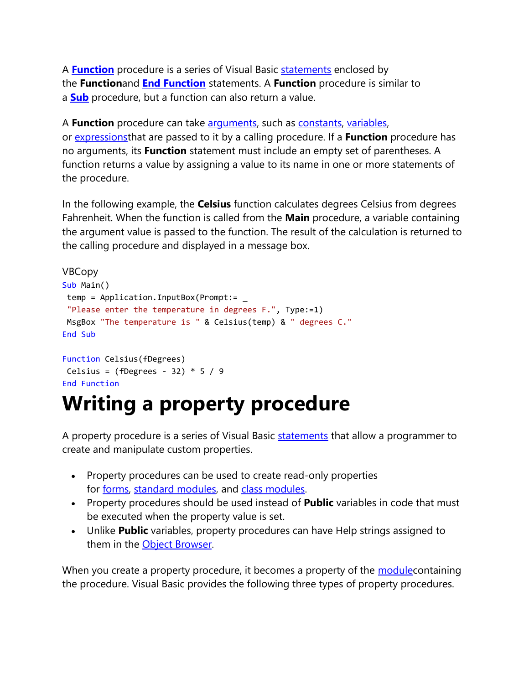A **[Function](https://docs.microsoft.com/en-us/office/vba/language/reference/user-interface-help/function-statement)** procedure is a series of Visual Basic [statements](https://docs.microsoft.com/en-us/office/vba/language/glossary/vbe-glossary#statement) enclosed by the **Function**and **[End Function](https://docs.microsoft.com/en-us/office/vba/language/reference/user-interface-help/end-statement)** statements. A **Function** procedure is similar to a **[Sub](https://docs.microsoft.com/en-us/office/vba/language/reference/user-interface-help/sub-statement)** procedure, but a function can also return a value.

A **Function** procedure can take [arguments,](https://docs.microsoft.com/en-us/office/vba/language/glossary/vbe-glossary#argument) such as [constants,](https://docs.microsoft.com/en-us/office/vba/language/glossary/vbe-glossary#constant) [variables,](https://docs.microsoft.com/en-us/office/vba/language/glossary/vbe-glossary#variable) or [expressionst](https://docs.microsoft.com/en-us/office/vba/language/glossary/vbe-glossary#expression)hat are passed to it by a calling procedure. If a **Function** procedure has no arguments, its **Function** statement must include an empty set of parentheses. A function returns a value by assigning a value to its name in one or more statements of the procedure.

In the following example, the **Celsius** function calculates degrees Celsius from degrees Fahrenheit. When the function is called from the **Main** procedure, a variable containing the argument value is passed to the function. The result of the calculation is returned to the calling procedure and displayed in a message box.

```
VBCopy
Sub Main()
temp = Application.InputBox(Prompt:= _
 "Please enter the temperature in degrees F.", Type:=1)
MsgBox "The temperature is " & Celsius(temp) & " degrees C."
End Sub
Function Celsius(fDegrees)
Celsius = (fDegrees - 32) * 5 / 9End Function
```
## **Writing a property procedure**

A property procedure is a series of Visual Basic [statements](https://docs.microsoft.com/en-us/office/vba/language/glossary/vbe-glossary#statement) that allow a programmer to create and manipulate custom properties.

- Property procedures can be used to create read-only properties for [forms,](https://docs.microsoft.com/en-us/office/vba/language/glossary/vbe-glossary#form) [standard modules,](https://docs.microsoft.com/en-us/office/vba/language/glossary/vbe-glossary#standard-module) and [class modules.](https://docs.microsoft.com/en-us/office/vba/language/glossary/vbe-glossary#class-module)
- Property procedures should be used instead of **Public** variables in code that must be executed when the property value is set.
- Unlike **Public** variables, property procedures can have Help strings assigned to them in the [Object Browser.](https://docs.microsoft.com/en-us/office/vba/language/glossary/vbe-glossary#object-browser)

When you create a property procedure, it becomes a property of the module containing the procedure. Visual Basic provides the following three types of property procedures.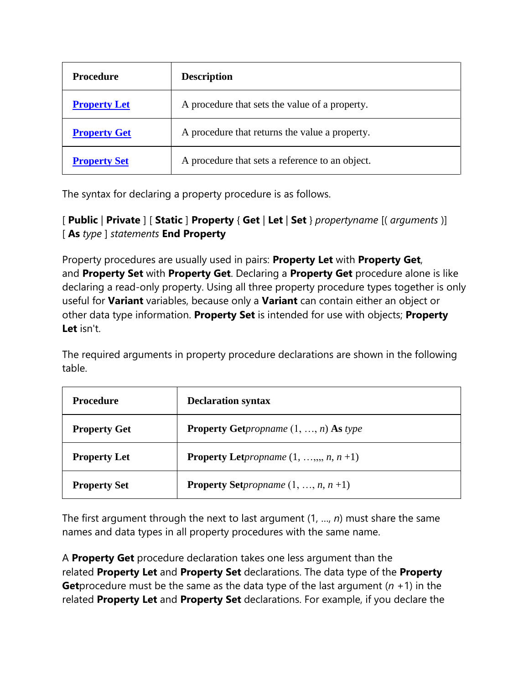| Procedure           | <b>Description</b>                              |
|---------------------|-------------------------------------------------|
| <b>Property Let</b> | A procedure that sets the value of a property.  |
| <b>Property Get</b> | A procedure that returns the value a property.  |
| <b>Property Set</b> | A procedure that sets a reference to an object. |

The syntax for declaring a property procedure is as follows.

[ **Public** | **Private** ] [ **Static** ] **Property** { **Get** | **Let** | **Set** } *propertyname* [( *arguments* )] [ **As** *type* ] *statements* **End Property**

Property procedures are usually used in pairs: **Property Let** with **Property Get**, and **Property Set** with **Property Get**. Declaring a **Property Get** procedure alone is like declaring a read-only property. Using all three property procedure types together is only useful for **Variant** variables, because only a **Variant** can contain either an object or other data type information. **Property Set** is intended for use with objects; **Property Let** isn't.

The required arguments in property procedure declarations are shown in the following table.

| Procedure           | <b>Declaration syntax</b>                                            |
|---------------------|----------------------------------------------------------------------|
| <b>Property Get</b> | <b>Property Get</b> <i>propname</i> $(1, , n)$ <b>As</b> <i>type</i> |
| <b>Property Let</b> | <b>Property Let</b> <i>propname</i> $(1, \ldots, n, n+1)$            |
| <b>Property Set</b> | <b>Property Set</b> propname $(1, , n, n+1)$                         |

The first argument through the next to last argument (1, …, *n*) must share the same names and data types in all property procedures with the same name.

A **Property Get** procedure declaration takes one less argument than the related **Property Let** and **Property Set** declarations. The data type of the **Property Get**procedure must be the same as the data type of the last argument (*n* +1) in the related **Property Let** and **Property Set** declarations. For example, if you declare the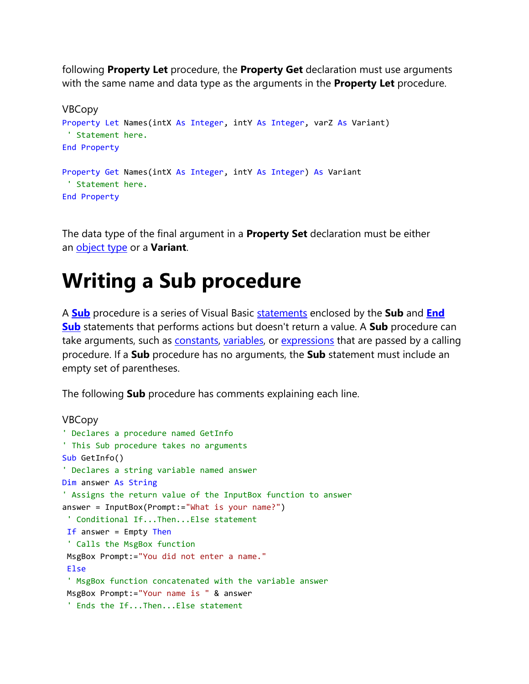following **Property Let** procedure, the **Property Get** declaration must use arguments with the same name and data type as the arguments in the **Property Let** procedure.

```
VBCopy
Property Let Names(intX As Integer, intY As Integer, varZ As Variant)
 ' Statement here.
End Property
Property Get Names(intX As Integer, intY As Integer) As Variant
 ' Statement here.
End Property
```
The data type of the final argument in a **Property Set** declaration must be either an [object type](https://docs.microsoft.com/en-us/office/vba/language/glossary/vbe-glossary#object-type) or a **Variant**.

### **Writing a Sub procedure**

A **[Sub](https://docs.microsoft.com/en-us/office/vba/language/reference/user-interface-help/sub-statement)** procedure is a series of Visual Basic [statements](https://docs.microsoft.com/en-us/office/vba/language/glossary/vbe-glossary#statement) enclosed by the **Sub** and **[End](https://docs.microsoft.com/en-us/office/vba/language/reference/user-interface-help/end-statement)  [Sub](https://docs.microsoft.com/en-us/office/vba/language/reference/user-interface-help/end-statement)** statements that performs actions but doesn't return a value. A **Sub** procedure can take arguments, such as [constants,](https://docs.microsoft.com/en-us/office/vba/language/glossary/vbe-glossary#constant) [variables,](https://docs.microsoft.com/en-us/office/vba/language/glossary/vbe-glossary#variable) or [expressions](https://docs.microsoft.com/en-us/office/vba/language/glossary/vbe-glossary#expression) that are passed by a calling procedure. If a **Sub** procedure has no arguments, the **Sub** statement must include an empty set of parentheses.

The following **Sub** procedure has comments explaining each line.

```
VBCopy
' Declares a procedure named GetInfo
' This Sub procedure takes no arguments
Sub GetInfo()
' Declares a string variable named answer
Dim answer As String
' Assigns the return value of the InputBox function to answer
answer = InputBox(Prompt:="What is your name?")
 ' Conditional If...Then...Else statement
If answer = Empty Then
 ' Calls the MsgBox function
MsgBox Prompt:="You did not enter a name."
 Else
 ' MsgBox function concatenated with the variable answer
MsgBox Prompt:="Your name is " & answer
 ' Ends the If...Then...Else statement
```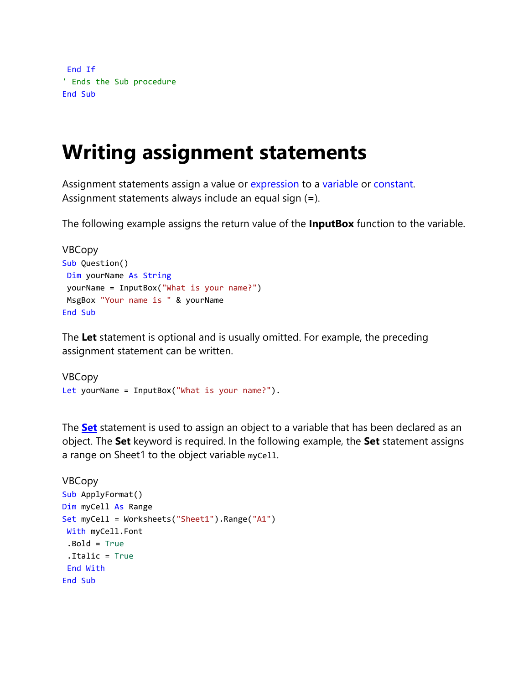```
End If
' Ends the Sub procedure
End Sub
```
### **Writing assignment statements**

Assignment statements assign a value or [expression](https://docs.microsoft.com/en-us/office/vba/language/glossary/vbe-glossary#expression) to a [variable](https://docs.microsoft.com/en-us/office/vba/language/glossary/vbe-glossary#variable) or [constant.](https://docs.microsoft.com/en-us/office/vba/language/glossary/vbe-glossary#constant) Assignment statements always include an equal sign (**=**).

The following example assigns the return value of the **InputBox** function to the variable.

```
VBCopy
Sub Question()
Dim yourName As String
yourName = InputBox("What is your name?")
MsgBox "Your name is " & yourName
End Sub
```
The **Let** statement is optional and is usually omitted. For example, the preceding assignment statement can be written.

```
VBCopy
Let yourName = InputBox("What is your name?").
```
The **[Set](https://docs.microsoft.com/en-us/office/vba/language/reference/user-interface-help/set-statement)** statement is used to assign an object to a variable that has been declared as an object. The **Set** keyword is required. In the following example, the **Set** statement assigns a range on Sheet1 to the object variable myCell.

```
VBCopy
Sub ApplyFormat()
Dim myCell As Range
Set myCell = Worksheets("Sheet1").Range("A1")
With myCell.Font
.Bold = True
 .Italic = True
End With
End Sub
```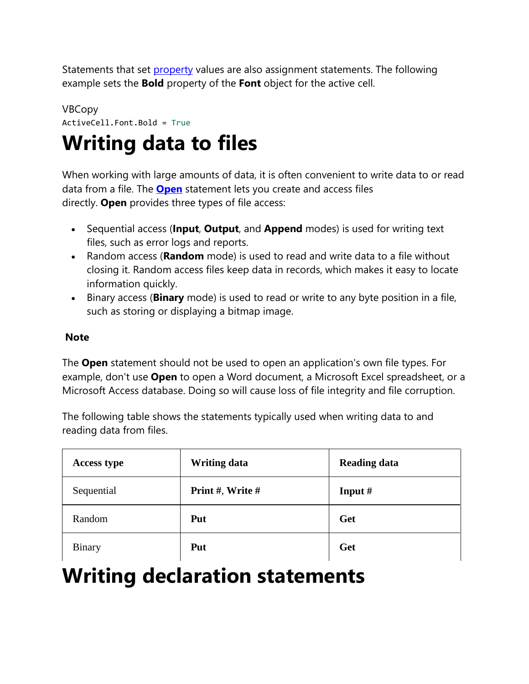Statements that set *[property](https://docs.microsoft.com/en-us/office/vba/language/glossary/vbe-glossary#property)* values are also assignment statements. The following example sets the **Bold** property of the **Font** object for the active cell.

#### VBCopy ActiveCell.Font.Bold = True

## **Writing data to files**

When working with large amounts of data, it is often convenient to write data to or read data from a file. The **[Open](https://docs.microsoft.com/en-us/office/vba/language/reference/user-interface-help/open-statement)** statement lets you create and access files directly. **Open** provides three types of file access:

- Sequential access (**Input**, **Output**, and **Append** modes) is used for writing text files, such as error logs and reports.
- Random access (**Random** mode) is used to read and write data to a file without closing it. Random access files keep data in records, which makes it easy to locate information quickly.
- Binary access (**Binary** mode) is used to read or write to any byte position in a file, such as storing or displaying a bitmap image.

#### **Note**

The **Open** statement should not be used to open an application's own file types. For example, don't use **Open** to open a Word document, a Microsoft Excel spreadsheet, or a Microsoft Access database. Doing so will cause loss of file integrity and file corruption.

The following table shows the statements typically used when writing data to and reading data from files.

| <b>Access type</b> | <b>Writing data</b> | <b>Reading data</b> |
|--------------------|---------------------|---------------------|
| Sequential         | Print #, Write #    | Input $#$           |
| Random             | Put                 | Get                 |
| <b>Binary</b>      | Put                 | Get                 |

### **Writing declaration statements**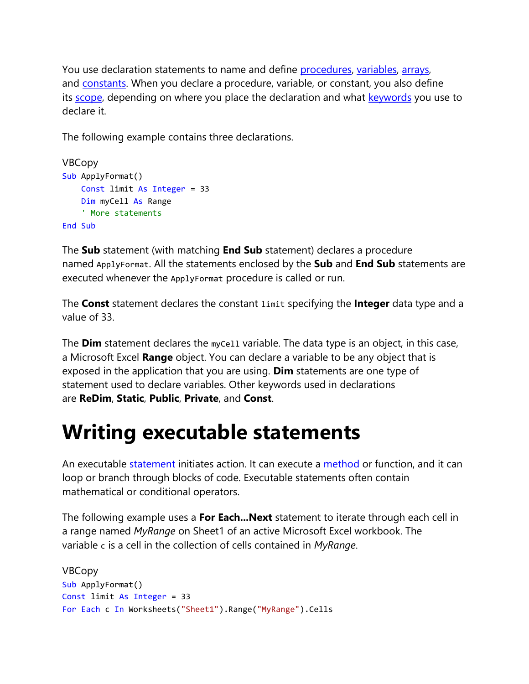You use declaration statements to name and define [procedures,](https://docs.microsoft.com/en-us/office/vba/language/glossary/vbe-glossary#procedure) [variables,](https://docs.microsoft.com/en-us/office/vba/language/glossary/vbe-glossary#variable) [arrays,](https://docs.microsoft.com/en-us/office/vba/language/glossary/vbe-glossary#array) and [constants.](https://docs.microsoft.com/en-us/office/vba/language/glossary/vbe-glossary#constant) When you declare a procedure, variable, or constant, you also define its [scope,](https://docs.microsoft.com/en-us/office/vba/language/glossary/vbe-glossary#scope) depending on where you place the declaration and what [keywords](https://docs.microsoft.com/en-us/office/vba/language/glossary/vbe-glossary#keyword) you use to declare it.

The following example contains three declarations.

```
VBCopy
Sub ApplyFormat()
     Const limit As Integer = 33
     Dim myCell As Range
     ' More statements
End Sub
```
The **Sub** statement (with matching **End Sub** statement) declares a procedure named ApplyFormat. All the statements enclosed by the **Sub** and **End Sub** statements are executed whenever the ApplyFormat procedure is called or run.

The **Const** statement declares the constant limit specifying the **Integer** data type and a value of 33.

The **Dim** statement declares the myCell variable. The data type is an object, in this case, a Microsoft Excel **Range** object. You can declare a variable to be any object that is exposed in the application that you are using. **Dim** statements are one type of statement used to declare variables. Other keywords used in declarations are **ReDim**, **Static**, **Public**, **Private**, and **Const**.

## **Writing executable statements**

An executable [statement](https://docs.microsoft.com/en-us/office/vba/language/glossary/vbe-glossary#statement) initiates action. It can execute a [method](https://docs.microsoft.com/en-us/office/vba/language/glossary/vbe-glossary#method) or function, and it can loop or branch through blocks of code. Executable statements often contain mathematical or conditional operators.

The following example uses a **For Each...Next** statement to iterate through each cell in a range named *MyRange* on Sheet1 of an active Microsoft Excel workbook. The variable c is a cell in the collection of cells contained in *MyRange*.

```
VBCopy
Sub ApplyFormat()
Const limit As Integer = 33
For Each c In Worksheets("Sheet1").Range("MyRange").Cells
```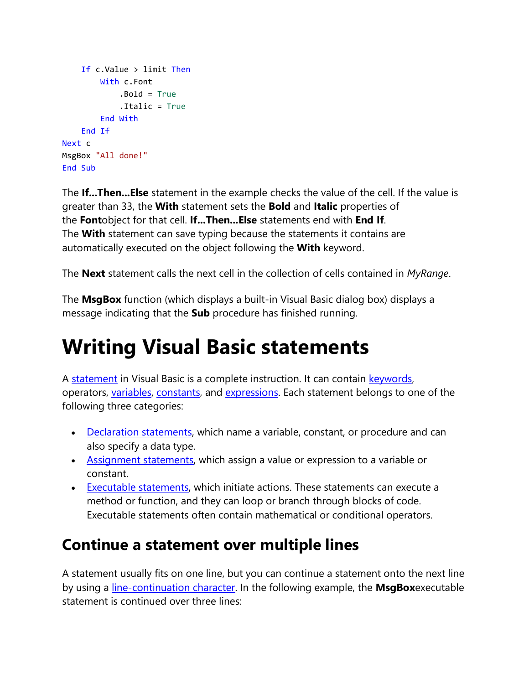```
 If c.Value > limit Then
         With c.Font
             .Bold = True
             .Italic = True
         End With
    End If
Next c
MsgBox "All done!"
End Sub
```
The **If...Then...Else** statement in the example checks the value of the cell. If the value is greater than 33, the **With** statement sets the **Bold** and **Italic** properties of the **Font**object for that cell. **If...Then...Else** statements end with **End If**. The **With** statement can save typing because the statements it contains are automatically executed on the object following the **With** keyword.

The **Next** statement calls the next cell in the collection of cells contained in *MyRange*.

The **MsgBox** function (which displays a built-in Visual Basic dialog box) displays a message indicating that the **Sub** procedure has finished running.

### **Writing Visual Basic statements**

A [statement](https://docs.microsoft.com/en-us/office/vba/language/glossary/vbe-glossary#statement) in Visual Basic is a complete instruction. It can contain [keywords,](https://docs.microsoft.com/en-us/office/vba/language/glossary/vbe-glossary#keyword) operators, [variables,](https://docs.microsoft.com/en-us/office/vba/language/glossary/vbe-glossary#variable) [constants,](https://docs.microsoft.com/en-us/office/vba/language/glossary/vbe-glossary#constant) and [expressions.](https://docs.microsoft.com/en-us/office/vba/language/glossary/vbe-glossary#expression) Each statement belongs to one of the following three categories:

- [Declaration statements,](https://docs.microsoft.com/en-us/office/vba/language/concepts/getting-started/writing-declaration-statements) which name a variable, constant, or procedure and can also specify a data type.
- [Assignment statements,](https://docs.microsoft.com/en-us/office/vba/language/concepts/getting-started/writing-assignment-statements) which assign a value or expression to a variable or constant.
- [Executable statements,](https://docs.microsoft.com/en-us/office/vba/language/concepts/getting-started/writing-executable-statements) which initiate actions. These statements can execute a method or function, and they can loop or branch through blocks of code. Executable statements often contain mathematical or conditional operators.

#### **Continue a statement over multiple lines**

A statement usually fits on one line, but you can continue a statement onto the next line by using a [line-continuation character.](https://docs.microsoft.com/en-us/office/vba/language/glossary/vbe-glossary#line-continuation-character) In the following example, the **MsgBox**executable statement is continued over three lines: